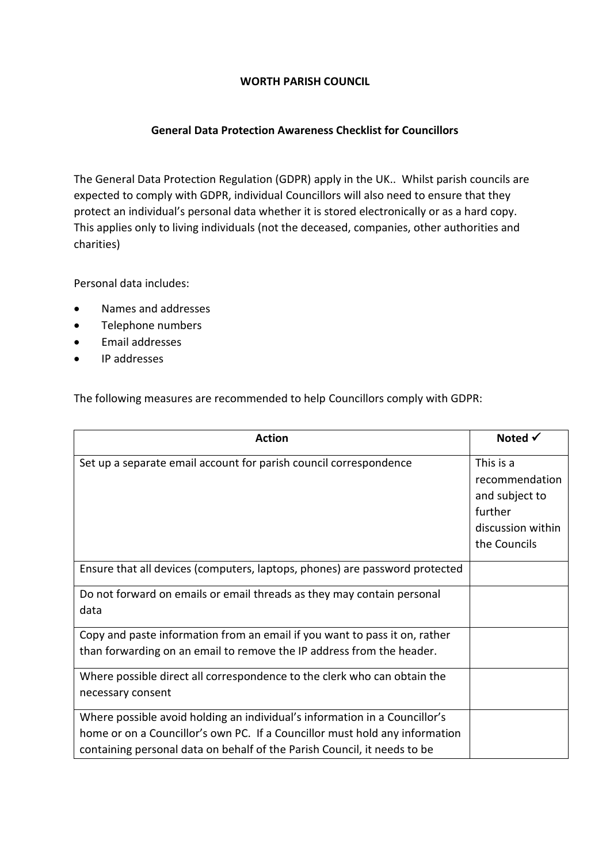## **WORTH PARISH COUNCIL**

## **General Data Protection Awareness Checklist for Councillors**

The General Data Protection Regulation (GDPR) apply in the UK.. Whilst parish councils are expected to comply with GDPR, individual Councillors will also need to ensure that they protect an individual's personal data whether it is stored electronically or as a hard copy. This applies only to living individuals (not the deceased, companies, other authorities and charities)

Personal data includes:

- Names and addresses
- Telephone numbers
- Email addresses
- IP addresses

The following measures are recommended to help Councillors comply with GDPR:

| <b>Action</b>                                                                                 | Noted $\checkmark$                                                                            |
|-----------------------------------------------------------------------------------------------|-----------------------------------------------------------------------------------------------|
| Set up a separate email account for parish council correspondence                             | This is a<br>recommendation<br>and subject to<br>further<br>discussion within<br>the Councils |
| Ensure that all devices (computers, laptops, phones) are password protected                   |                                                                                               |
| Do not forward on emails or email threads as they may contain personal<br>data                |                                                                                               |
| Copy and paste information from an email if you want to pass it on, rather                    |                                                                                               |
| than forwarding on an email to remove the IP address from the header.                         |                                                                                               |
| Where possible direct all correspondence to the clerk who can obtain the<br>necessary consent |                                                                                               |
|                                                                                               |                                                                                               |
| Where possible avoid holding an individual's information in a Councillor's                    |                                                                                               |
| home or on a Councillor's own PC. If a Councillor must hold any information                   |                                                                                               |
| containing personal data on behalf of the Parish Council, it needs to be                      |                                                                                               |